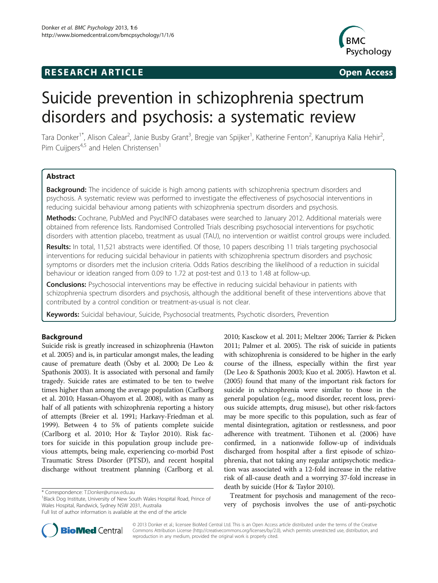# **RESEARCH ARTICLE Example 2014 CONSIDERING CONSIDERING CONSIDERING CONSIDERING CONSIDERING CONSIDERING CONSIDERING CONSIDERING CONSIDERING CONSIDERING CONSIDERING CONSIDERING CONSIDERING CONSIDERING CONSIDERING CONSIDE**



# Suicide prevention in schizophrenia spectrum disorders and psychosis: a systematic review

Tara Donker<sup>1\*</sup>, Alison Calear<sup>2</sup>, Janie Busby Grant<sup>3</sup>, Bregje van Spijker<sup>1</sup>, Katherine Fenton<sup>2</sup>, Kanupriya Kalia Hehir<sup>2</sup> , Pim Cuijpers<sup>4,5</sup> and Helen Christensen<sup>1</sup>

# **Abstract**

**Background:** The incidence of suicide is high among patients with schizophrenia spectrum disorders and psychosis. A systematic review was performed to investigate the effectiveness of psychosocial interventions in reducing suicidal behaviour among patients with schizophrenia spectrum disorders and psychosis.

Methods: Cochrane, PubMed and PsycINFO databases were searched to January 2012. Additional materials were obtained from reference lists. Randomised Controlled Trials describing psychosocial interventions for psychotic disorders with attention placebo, treatment as usual (TAU), no intervention or waitlist control groups were included.

Results: In total, 11,521 abstracts were identified. Of those, 10 papers describing 11 trials targeting psychosocial interventions for reducing suicidal behaviour in patients with schizophrenia spectrum disorders and psychosic symptoms or disorders met the inclusion criteria. Odds Ratios describing the likelihood of a reduction in suicidal behaviour or ideation ranged from 0.09 to 1.72 at post-test and 0.13 to 1.48 at follow-up.

**Conclusions:** Psychosocial interventions may be effective in reducing suicidal behaviour in patients with schizophrenia spectrum disorders and psychosis, although the additional benefit of these interventions above that contributed by a control condition or treatment-as-usual is not clear.

Keywords: Suicidal behaviour, Suicide, Psychosocial treatments, Psychotic disorders, Prevention

# Background

Suicide risk is greatly increased in schizophrenia (Hawton et al. [2005](#page-8-0)) and is, in particular amongst males, the leading cause of premature death (Ösby et al. [2000](#page-8-0); De Leo & Spathonis [2003](#page-8-0)). It is associated with personal and family tragedy. Suicide rates are estimated to be ten to twelve times higher than among the average population (Carlborg et al. [2010;](#page-8-0) Hassan-Ohayom et al. [2008](#page-8-0)), with as many as half of all patients with schizophrenia reporting a history of attempts (Breier et al. [1991](#page-8-0); Harkavy-Friedman et al. [1999\)](#page-8-0). Between 4 to 5% of patients complete suicide (Carlborg et al. [2010;](#page-8-0) Hor & Taylor [2010\)](#page-8-0). Risk factors for suicide in this population group include previous attempts, being male, experiencing co-morbid Post Traumatic Stress Disorder (PTSD), and recent hospital discharge without treatment planning (Carlborg et al.

<sup>1</sup>Black Dog Institute, University of New South Wales Hospital Road, Prince of Wales Hospital, Randwick, Sydney NSW 2031, Australia

[2010](#page-8-0); Kasckow et al. [2011;](#page-8-0) Meltzer [2006;](#page-9-0) Tarrier & Picken [2011](#page-9-0); Palmer et al. [2005](#page-9-0)). The risk of suicide in patients with schizophrenia is considered to be higher in the early course of the illness, especially within the first year (De Leo & Spathonis [2003;](#page-8-0) Kuo et al. [2005\)](#page-9-0). Hawton et al. ([2005](#page-8-0)) found that many of the important risk factors for suicide in schizophrenia were similar to those in the general population (e.g., mood disorder, recent loss, previous suicide attempts, drug misuse), but other risk-factors may be more specific to this population, such as fear of mental disintegration, agitation or restlessness, and poor adherence with treatment. Tiihonen et al. ([2006\)](#page-9-0) have confirmed, in a nationwide follow-up of individuals discharged from hospital after a first episode of schizophrenia, that not taking any regular antipsychotic medication was associated with a 12-fold increase in the relative risk of all-cause death and a worrying 37-fold increase in death by suicide (Hor & Taylor [2010](#page-8-0)).

Treatment for psychosis and management of the recovery of psychosis involves the use of anti-psychotic



© 2013 Donker et al.; licensee BioMed Central Ltd. This is an Open Access article distributed under the terms of the Creative Commons Attribution License [\(http://creativecommons.org/licenses/by/2.0\)](http://creativecommons.org/licenses/by/2.0), which permits unrestricted use, distribution, and reproduction in any medium, provided the original work is properly cited.

<sup>\*</sup> Correspondence: [T.Donker@unsw.edu.au](mailto:T.Donker@unsw.edu.au) <sup>1</sup>

Full list of author information is available at the end of the article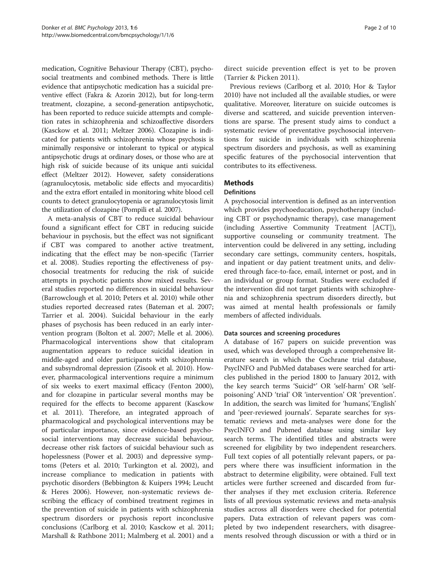medication, Cognitive Behaviour Therapy (CBT), psychosocial treatments and combined methods. There is little evidence that antipsychotic medication has a suicidal preventive effect (Fakra & Azorin [2012](#page-9-0)), but for long-term treatment, clozapine, a second-generation antipsychotic, has been reported to reduce suicide attempts and completion rates in schizophrenia and schizoaffective disorders (Kasckow et al. [2011;](#page-8-0) Meltzer [2006](#page-9-0)). Clozapine is indicated for patients with schizophrenia whose psychosis is minimally responsive or intolerant to typical or atypical antipsychotic drugs at ordinary doses, or those who are at high risk of suicide because of its unique anti suicidal effect (Meltzer [2012](#page-9-0)). However, safety considerations (agranulocytosis, metabolic side effects and myocarditis) and the extra effort entailed in monitoring white blood cell counts to detect granulocytopenia or agranulocytosis limit the utilization of clozapine (Pompili et al. [2007\)](#page-9-0).

A meta-analysis of CBT to reduce suicidal behaviour found a significant effect for CBT in reducing suicide behaviour in psychosis, but the effect was not significant if CBT was compared to another active treatment, indicating that the effect may be non-specific (Tarrier et al. [2008\)](#page-9-0). Studies reporting the effectiveness of psychosocial treatments for reducing the risk of suicide attempts in psychotic patients show mixed results. Several studies reported no differences in suicidal behaviour (Barrowclough et al. [2010](#page-9-0); Peters et al. [2010\)](#page-9-0) while other studies reported decreased rates (Bateman et al. [2007](#page-9-0); Tarrier et al. [2004](#page-9-0)). Suicidal behaviour in the early phases of psychosis has been reduced in an early intervention program (Bolton et al. [2007](#page-9-0); Melle et al. [2006](#page-9-0)). Pharmacological interventions show that citalopram augmentation appears to reduce suicidal ideation in middle-aged and older participants with schizophrenia and subsyndromal depression (Zisook et al. [2010\)](#page-9-0). However, pharmacological interventions require a minimum of six weeks to exert maximal efficacy (Fenton [2000](#page-9-0)), and for clozapine in particular several months may be required for the effects to become apparent (Kasckow et al. [2011](#page-8-0)). Therefore, an integrated approach of pharmacological and psychological interventions may be of particular importance, since evidence-based psychosocial interventions may decrease suicidal behaviour, decrease other risk factors of suicidal behaviour such as hopelessness (Power et al. [2003\)](#page-9-0) and depressive symptoms (Peters et al. [2010;](#page-9-0) Turkington et al. [2002](#page-9-0)), and increase compliance to medication in patients with psychotic disorders (Bebbington & Kuipers [1994](#page-9-0); Leucht & Heres [2006\)](#page-9-0). However, non-systematic reviews describing the efficacy of combined treatment regimes in the prevention of suicide in patients with schizophrenia spectrum disorders or psychosis report inconclusive conclusions (Carlborg et al. [2010;](#page-8-0) Kasckow et al. [2011](#page-8-0); Marshall & Rathbone [2011](#page-9-0); Malmberg et al. [2001](#page-9-0)) and a direct suicide prevention effect is yet to be proven (Tarrier & Picken [2011\)](#page-9-0).

Previous reviews (Carlborg et al. [2010](#page-8-0); Hor & Taylor [2010](#page-8-0)) have not included all the available studies, or were qualitative. Moreover, literature on suicide outcomes is diverse and scattered, and suicide prevention interventions are sparse. The present study aims to conduct a systematic review of preventative psychosocial interventions for suicide in individuals with schizophrenia spectrum disorders and psychosis, as well as examining specific features of the psychosocial intervention that contributes to its effectiveness.

# **Methods**

# **Definitions**

A psychosocial intervention is defined as an intervention which provides psychoeducation, psychotherapy (including CBT or psychodynamic therapy), case management (including Assertive Community Treatment [ACT]), supportive counseling or community treatment. The intervention could be delivered in any setting, including secondary care settings, community centers, hospitals, and inpatient or day patient treatment units, and delivered through face-to-face, email, internet or post, and in an individual or group format. Studies were excluded if the intervention did not target patients with schizophrenia and schizophrenia spectrum disorders directly, but was aimed at mental health professionals or family members of affected individuals.

# Data sources and screening procedures

A database of 167 papers on suicide prevention was used, which was developed through a comprehensive literature search in which the Cochrane trial database, PsycINFO and PubMed databases were searched for articles published in the period 1800 to January 2012, with the key search terms 'Suicid\*' OR 'self-harm' OR 'selfpoisoning' AND 'trial' OR 'intervention' OR 'prevention'. In addition, the search was limited for 'humans', 'English' and 'peer-reviewed journals'. Separate searches for systematic reviews and meta-analyses were done for the PsycINFO and Pubmed database using similar key search terms. The identified titles and abstracts were screened for eligibility by two independent researchers. Full text copies of all potentially relevant papers, or papers where there was insufficient information in the abstract to determine eligibility, were obtained. Full text articles were further screened and discarded from further analyses if they met exclusion criteria. Reference lists of all previous systematic reviews and meta-analysis studies across all disorders were checked for potential papers. Data extraction of relevant papers was completed by two independent researchers, with disagreements resolved through discussion or with a third or in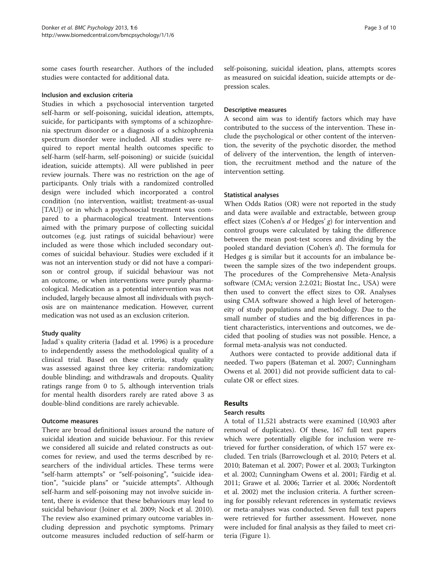some cases fourth researcher. Authors of the included studies were contacted for additional data.

# Inclusion and exclusion criteria

Studies in which a psychosocial intervention targeted self-harm or self-poisoning, suicidal ideation, attempts, suicide, for participants with symptoms of a schizophrenia spectrum disorder or a diagnosis of a schizophrenia spectrum disorder were included. All studies were required to report mental health outcomes specific to self-harm (self-harm, self-poisoning) or suicide (suicidal ideation, suicide attempts). All were published in peer review journals. There was no restriction on the age of participants. Only trials with a randomized controlled design were included which incorporated a control condition (no intervention, waitlist; treatment-as-usual [TAU]) or in which a psychosocial treatment was compared to a pharmacological treatment. Interventions aimed with the primary purpose of collecting suicidal outcomes (e.g. just ratings of suicidal behaviour) were included as were those which included secondary outcomes of suicidal behaviour. Studies were excluded if it was not an intervention study or did not have a comparison or control group, if suicidal behaviour was not an outcome, or when interventions were purely pharmacological. Medication as a potential intervention was not included, largely because almost all individuals with psychosis are on maintenance medication. However, current medication was not used as an exclusion criterion.

# Study quality

Jadad`s quality criteria (Jadad et al. [1996](#page-9-0)) is a procedure to independently assess the methodological quality of a clinical trial. Based on these criteria, study quality was assessed against three key criteria: randomization; double blinding; and withdrawals and dropouts. Quality ratings range from 0 to 5, although intervention trials for mental health disorders rarely are rated above 3 as double-blind conditions are rarely achievable.

# Outcome measures

There are broad definitional issues around the nature of suicidal ideation and suicide behaviour. For this review we considered all suicide and related constructs as outcomes for review, and used the terms described by researchers of the individual articles. These terms were "self-harm attempts" or "self-poisoning", "suicide ideation", "suicide plans" or "suicide attempts". Although self-harm and self-poisoning may not involve suicide intent, there is evidence that these behaviours may lead to suicidal behaviour (Joiner et al. [2009](#page-9-0); Nock et al. [2010](#page-9-0)). The review also examined primary outcome variables including depression and psychotic symptoms. Primary outcome measures included reduction of self-harm or self-poisoning, suicidal ideation, plans, attempts scores as measured on suicidal ideation, suicide attempts or depression scales.

#### Descriptive measures

A second aim was to identify factors which may have contributed to the success of the intervention. These include the psychological or other content of the intervention, the severity of the psychotic disorder, the method of delivery of the intervention, the length of intervention, the recruitment method and the nature of the intervention setting.

#### Statistical analyses

When Odds Ratios (OR) were not reported in the study and data were available and extractable, between group effect sizes (Cohen's  $d$  or Hedges'  $g$ ) for intervention and control groups were calculated by taking the difference between the mean post-test scores and dividing by the pooled standard deviation (Cohen's d). The formula for Hedges g is similar but it accounts for an imbalance between the sample sizes of the two independent groups. The procedures of the Comprehensive Meta-Analysis software (CMA; version 2.2.021; Biostat Inc., USA) were then used to convert the effect sizes to OR. Analyses using CMA software showed a high level of heterogeneity of study populations and methodology. Due to the small number of studies and the big differences in patient characteristics, interventions and outcomes, we decided that pooling of studies was not possible. Hence, a formal meta-analysis was not conducted.

Authors were contacted to provide additional data if needed. Two papers (Bateman et al. [2007](#page-9-0); Cunningham Owens et al. [2001](#page-9-0)) did not provide sufficient data to calculate OR or effect sizes.

# Results

# Search results

A total of 11,521 abstracts were examined (10,903 after removal of duplicates). Of these, 167 full text papers which were potentially eligible for inclusion were retrieved for further consideration, of which 157 were excluded. Ten trials (Barrowclough et al. [2010;](#page-9-0) Peters et al. [2010](#page-9-0); Bateman et al. [2007;](#page-9-0) Power et al. [2003;](#page-9-0) Turkington et al. [2002;](#page-9-0) Cunningham Owens et al. [2001](#page-9-0); Färdig et al. [2011](#page-9-0); Grawe et al. [2006;](#page-9-0) Tarrier et al. [2006;](#page-9-0) Nordentoft et al. [2002](#page-9-0)) met the inclusion criteria. A further screening for possibly relevant references in systematic reviews or meta-analyses was conducted. Seven full text papers were retrieved for further assessment. However, none were included for final analysis as they failed to meet criteria (Figure [1\)](#page-3-0).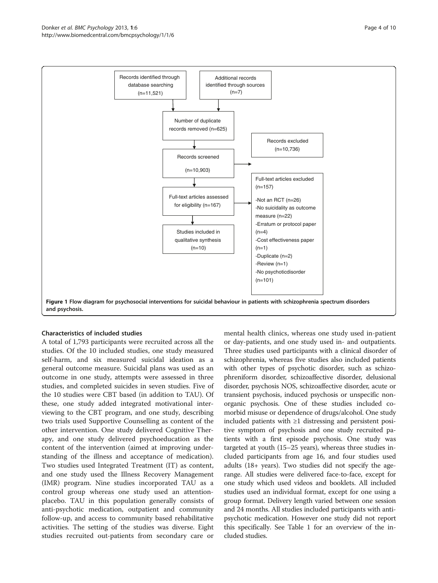<span id="page-3-0"></span>

# Characteristics of included studies

A total of 1,793 participants were recruited across all the studies. Of the 10 included studies, one study measured self-harm, and six measured suicidal ideation as a general outcome measure. Suicidal plans was used as an outcome in one study, attempts were assessed in three studies, and completed suicides in seven studies. Five of the 10 studies were CBT based (in addition to TAU). Of these, one study added integrated motivational interviewing to the CBT program, and one study, describing two trials used Supportive Counselling as content of the other intervention. One study delivered Cognitive Therapy, and one study delivered psychoeducation as the content of the intervention (aimed at improving understanding of the illness and acceptance of medication). Two studies used Integrated Treatment (IT) as content, and one study used the Illness Recovery Management (IMR) program. Nine studies incorporated TAU as a control group whereas one study used an attentionplacebo. TAU in this population generally consists of anti-psychotic medication, outpatient and community follow-up, and access to community based rehabilitative activities. The setting of the studies was diverse. Eight studies recruited out-patients from secondary care or

mental health clinics, whereas one study used in-patient or day-patients, and one study used in- and outpatients. Three studies used participants with a clinical disorder of schizophrenia, whereas five studies also included patients with other types of psychotic disorder, such as schizophreniform disorder, schizoaffective disorder, delusional disorder, psychosis NOS, schizoaffective disorder, acute or transient psychosis, induced psychosis or unspecific nonorganic psychosis. One of these studies included comorbid misuse or dependence of drugs/alcohol. One study included patients with ≥1 distressing and persistent positive symptom of psychosis and one study recruited patients with a first episode psychosis. One study was targeted at youth (15–25 years), whereas three studies included participants from age 16, and four studies used adults (18+ years). Two studies did not specify the agerange. All studies were delivered face-to-face, except for one study which used videos and booklets. All included studies used an individual format, except for one using a group format. Delivery length varied between one session and 24 months. All studies included participants with antipsychotic medication. However one study did not report this specifically. See Table [1](#page-4-0) for an overview of the included studies.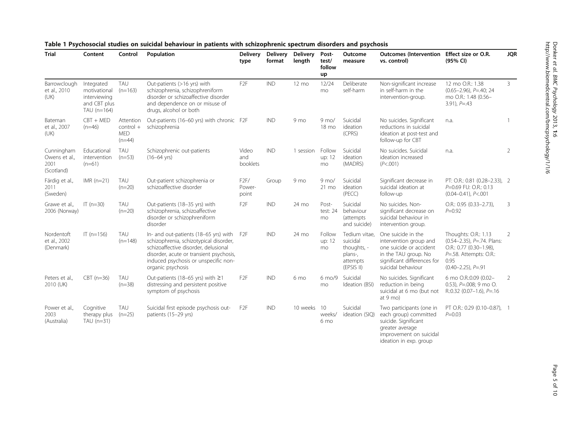| <b>Trial</b>                                      | Content                                                                     | Control                                            | Population                                                                                                                                                                                                                      | <b>Delivery</b><br>type  | <b>Delivery</b><br>format | <b>Delivery</b><br>length | Post-<br>test/<br>follow<br>up    | Outcome<br>measure                                                            | Outcomes (Intervention Effect size or O.R.<br>vs. control)                                                                                           | (95% CI)                                                                                                                                          | <b>JQR</b>     |
|---------------------------------------------------|-----------------------------------------------------------------------------|----------------------------------------------------|---------------------------------------------------------------------------------------------------------------------------------------------------------------------------------------------------------------------------------|--------------------------|---------------------------|---------------------------|-----------------------------------|-------------------------------------------------------------------------------|------------------------------------------------------------------------------------------------------------------------------------------------------|---------------------------------------------------------------------------------------------------------------------------------------------------|----------------|
| Barrowclough<br>et al., 2010<br>(UK)              | Integrated<br>motivational<br>interviewing<br>and CBT plus<br>TAU $(n=164)$ | TAU<br>$(n=163)$                                   | Out-patients (>16 yrs) with<br>schizophrenia, schizophreniform<br>disorder or schizoaffective disorder<br>and dependence on or misuse of<br>drugs, alcohol or both                                                              | F <sub>2F</sub>          | <b>IND</b>                | $12 \text{ mo}$           | 12/24<br>mo                       | Deliberate<br>self-harm                                                       | Non-significant increase<br>in self-harm in the<br>intervention-group.                                                                               | 12 mo O.R.: 1.38<br>$(0.65 - 2.96)$ , $P = .40$ ; 24<br>mo O.R.: 1.48 (0.56-<br>$3.91$ ), $P = 43$                                                | $\mathbf{3}$   |
| Bateman<br>et al., 2007<br>(UK)                   | $CBT + MED$<br>$(n=46)$                                                     | Attention<br>$control +$<br><b>MED</b><br>$(n=44)$ | Out-patients (16-60 yrs) with chronic F2F<br>schizophrenia                                                                                                                                                                      |                          | <b>IND</b>                | 9 mo                      | $9 \text{ mo}$<br>18 mo           | Suicidal<br>ideation<br>(CPRS)                                                | No suicides. Significant<br>reductions in suicidal<br>ideation at post-test and<br>follow-up for CBT                                                 | n.a.                                                                                                                                              | -1             |
| Cunningham<br>Owens et al.,<br>2001<br>(Scotland) | Educational<br>intervention<br>$(n=61)$                                     | TAU<br>$(n=53)$                                    | Schizophrenic out-patients<br>$(16 - 64 \text{ yrs})$                                                                                                                                                                           | Video<br>and<br>booklets | <b>IND</b>                | 1 session                 | Follow<br>up: 12<br>mo            | Suicidal<br>ideation<br>(MADRS)                                               | No suicides. Suicidal<br>ideation increased<br>(P<.001)                                                                                              | n.a.                                                                                                                                              | $\overline{2}$ |
| Färdig et al.,<br>2011<br>(Sweden)                | IMR $(n=21)$                                                                | TAU<br>$(n=20)$                                    | Out-patient schizophrenia or<br>schizoaffective disorder                                                                                                                                                                        | F2F/<br>Power-<br>point  | Group                     | 9 mo                      | $9 \text{ mo}$<br>$21 \text{ mo}$ | Suicidal<br>ideation<br>(PECC)                                                | Significant decrease in<br>suicidal ideation at<br>follow-up                                                                                         | PT: O.R.: 0.81 (0.28-2.33), 2<br>P=0.69 FU: O.R.: 0.13<br>$(0.04 - 0.41)$ , $P < .001$                                                            |                |
| Grawe et al.,<br>2006 (Norway)                    | $IT(n=30)$                                                                  | <b>TAU</b><br>$(n=20)$                             | Out-patients (18-35 yrs) with<br>schizophrenia, schizoaffective<br>disorder or schizophreniform<br>disorder                                                                                                                     | F <sub>2F</sub>          | <b>IND</b>                | 24 mo                     | Post-<br>test: 24<br>mo           | Suicidal<br>behaviour<br>(attempts<br>and suicide)                            | No suicides. Non-<br>significant decrease on<br>suicidal behaviour in<br>intervention group.                                                         | O.R.: 0.95 (0.33-2.73),<br>$P = 0.92$                                                                                                             | 3              |
| Nordentoft<br>et al., 2002<br>(Denmark)           | $IT(n=156)$                                                                 | TAU<br>$(n=148)$                                   | In- and out-patients (18-65 yrs) with<br>schizophrenia, schizotypical disorder,<br>schizoaffective disorder, delusional<br>disorder, acute or transient psychosis,<br>induced psychosis or unspecific non-<br>organic psychosis | F <sub>2F</sub>          | <b>IND</b>                | 24 mo                     | Follow<br>up: 12<br>mo            | Tedium vitae,<br>suicidal<br>thoughts, -<br>plans-,<br>attempts<br>(EPSIS II) | One suicide in the<br>intervention group and<br>one suicide or accident<br>in the TAU group. No<br>significant differences for<br>suicidal behaviour | Thoughts: O.R.: 1.13<br>(0.54-2.35), P=.74. Plans:<br>O.R.: 0.77 (0.30-1.98),<br>$P = 58$ . Attempts: O.R.:<br>0.95<br>$(0.40 - 2.25)$ , $P = 91$ | 2              |
| Peters et al<br>2010 (UK)                         | $CBT(n=36)$                                                                 | TAU<br>$(n=38)$                                    | Out-patients (18-65 yrs) with ≥1<br>distressing and persistent positive<br>symptom of psychosis                                                                                                                                 | F <sub>2F</sub>          | <b>IND</b>                | 6 mo                      | 6 mo/9<br>mo                      | Suicidal<br>Ideation (BSI)                                                    | No suicides. Significant<br>reduction in being<br>suicidal at 6 mo (but not<br>at 9 mo)                                                              | 6 mo O.R.:0.09 (0.02-<br>0.53), $P = .008$ ; 9 mo O.<br>R.:0.32 (0.07-1.6), $P = 16$                                                              | 2              |
| Power et al.,<br>2003<br>(Australia)              | Cognitive<br>therapy plus<br>TAU $(n=31)$                                   | TAU<br>$(n=25)$                                    | Suicidal first episode psychosis out-<br>patients (15-29 yrs)                                                                                                                                                                   | F <sub>2F</sub>          | <b>IND</b>                | 10 weeks 10               | weeks/<br>6 mo                    | Suicidal<br>ideation (SIQ)                                                    | Two participants (one in<br>each group) committed<br>suicide. Significant<br>greater average<br>improvement on suicidal<br>ideation in exp. group    | PT O.R.: 0.29 (0.10-0.87),<br>$P = 0.03$                                                                                                          |                |

# <span id="page-4-0"></span>Table 1 Psychosocial studies on suicidal behaviour in patients with schizophrenic spectrum disorders and psychosis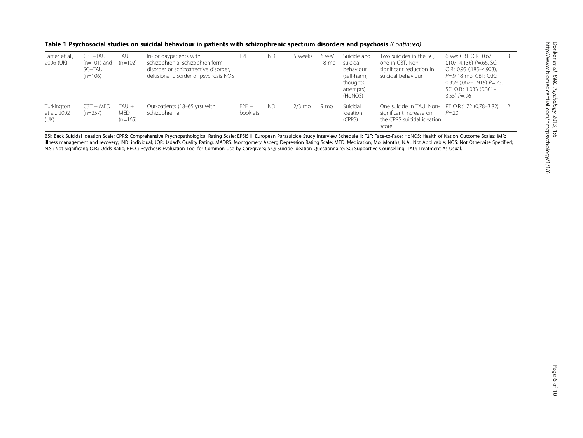| Tarrier et al.,<br>2006 (UK)       | CBT+TAU<br>$(n=101)$ and<br>SC+TAU<br>$(n=106)$ | TAU<br>$(n=102)$                 | In- or daypatients with<br>schizophrenia, schizophreniform<br>disorder or schizoaffective disorder,<br>delusional disorder or psychosis NOS | F <sub>2</sub> F    | <b>IND</b> | 5 weeks  | 6 we/<br>18 <sub>mo</sub> | Suicide and<br>suicidal<br>behaviour<br>(self-harm,<br>thoughts,<br>attempts)<br>(HoNOS) | Two suicides in the SC,<br>one in CBT. Non-<br>significant reduction in<br>suicidal behaviour                         | 6 we: CBT O.R.: 0.67<br>$(.107 - 4.136)$ P=.66, SC:<br>$O.R.: 0.95 (.185 - 4.903).$<br>$P = 918$ mo: CBT: O.R.:<br>$0.359$ (.067-1.919) $P = 23$ .<br>SC: O.R.: 1.033 (0.301-<br>$3.55$ ) $P = .96$ |  |
|------------------------------------|-------------------------------------------------|----------------------------------|---------------------------------------------------------------------------------------------------------------------------------------------|---------------------|------------|----------|---------------------------|------------------------------------------------------------------------------------------|-----------------------------------------------------------------------------------------------------------------------|-----------------------------------------------------------------------------------------------------------------------------------------------------------------------------------------------------|--|
| Turkington<br>et al., 2002<br>(UK) | $CBT + MED$<br>$(n=257)$                        | TAU +<br><b>MED</b><br>$(n=165)$ | Out-patients (18-65 yrs) with<br>schizophrenia                                                                                              | $F2F +$<br>booklets | <b>IND</b> | $2/3$ mo | 9 mo                      | Suicidal<br>ideation<br>(CPRS)                                                           | One suicide in TAU. Non- PT O.R.:1.72 (0.78-3.82),<br>significant increase on<br>the CPRS suicidal ideation<br>score. | $P = 20$                                                                                                                                                                                            |  |

BSI: Beck Suicidal Ideation Scale; CPRS: Comprehensive Psychopathological Rating Scale; EPSIS II: European Parasuicide Study Interview Schedule II; F2F: Face-to-Face; HoNOS: Health of Nation Outcome Scales; IMR: illness management and recovery; IND: individual; JQR: Jadad's Quality Rating; MADRS: Montgomery Asberg Depression Rating Scale; MED: Medication; Mo: Months; N.A.: Not Applicable; NOS: Not Otherwise Specified; N.S.: Not Significant; O.R.: Odds Ratio; PECC: Psychosis Evaluation Tool for Common Use by Caregivers; SIQ: Suicide Ideation Questionnaire; SC: Supportive Counselling; TAU: Treatment As Usual.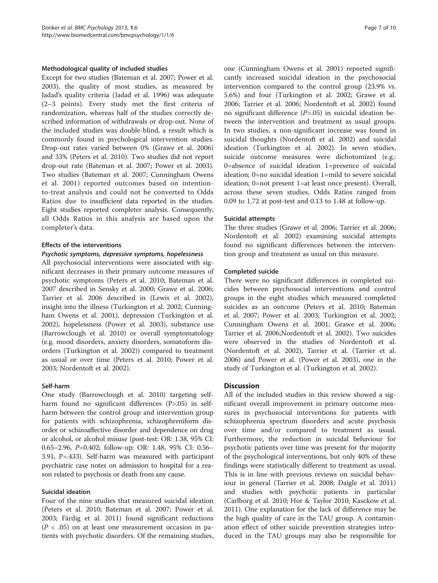# Methodological quality of included studies

Except for two studies (Bateman et al. [2007;](#page-9-0) Power et al. [2003](#page-9-0)), the quality of most studies, as measured by Jadad's quality criteria (Jadad et al. [1996](#page-9-0)) was adequate (2–3 points). Every study met the first criteria of randomization, whereas half of the studies correctly described information of withdrawals or drop-out. None of the included studies was double-blind, a result which is commonly found in psychological intervention studies. Drop-out rates varied between 0% (Grawe et al. [2006](#page-9-0)) and 33% (Peters et al. [2010\)](#page-9-0). Two studies did not report drop-out rate (Bateman et al. [2007;](#page-9-0) Power et al. [2003](#page-9-0)). Two studies (Bateman et al. [2007;](#page-9-0) Cunningham Owens et al. [2001](#page-9-0)) reported outcomes based on intentionto-treat analysis and could not be converted to Odds Ratios due to insufficient data reported in the studies. Eight studies reported completer analysis. Consequently, all Odds Ratios in this analysis are based upon the completer's data.

#### Effects of the interventions

#### Psychotic symptoms, depressive symptoms, hopelessness

All psychosocial interventions were associated with significant decreases in their primary outcome measures of psychotic symptoms (Peters et al. [2010;](#page-9-0) Bateman et al. [2007](#page-9-0) described in Sensky et al. [2000;](#page-9-0) Grawe et al. [2006](#page-9-0); Tarrier et al. [2006](#page-9-0) described in (Lewis et al. [2002](#page-9-0)), insight into the illness (Turkington et al. [2002](#page-9-0); Cunningham Owens et al. [2001\)](#page-9-0), depression (Turkington et al. [2002](#page-9-0)), hopelessness (Power et al. [2003](#page-9-0)), substance use (Barrowclough et al. [2010\)](#page-9-0) or overall symptomatology (e.g. mood disorders, anxiety disorders, somatoform disorders (Turkington et al. [2002](#page-9-0))) compared to treatment as usual or over time (Peters et al. [2010](#page-9-0); Power et al. [2003](#page-9-0); Nordentoft et al. [2002](#page-9-0)).

#### Self-harm

One study (Barrowclough et al. [2010](#page-9-0)) targeting selfharm found no significant differences (P>.05) in selfharm between the control group and intervention group for patients with schizophrenia, schizophreniform disorder or schizoaffective disorder and dependence on drug or alcohol, or alcohol misuse (post-test: OR: 1.38, 95% CI: 0.65–2.96, P=0.402; follow-up: OR: 1.48, 95% CI: 0.56– 3.91, P=.433). Self-harm was measured with participant psychiatric case notes on admission to hospital for a reason related to psychosis or death from any cause.

# Suicidal ideation

Four of the nine studies that measured suicidal ideation (Peters et al. [2010](#page-9-0); Bateman et al. [2007;](#page-9-0) Power et al. [2003](#page-9-0); Färdig et al. [2011](#page-9-0)) found significant reductions  $(P < .05)$  on at least one measurement occasion in patients with psychotic disorders. Of the remaining studies,

one (Cunningham Owens et al. [2001](#page-9-0)) reported significantly increased suicidal ideation in the psychosocial intervention compared to the control group (23.9% vs. 5.6%) and four (Turkington et al. [2002](#page-9-0); Grawe et al. [2006](#page-9-0); Tarrier et al. [2006](#page-9-0); Nordentoft et al. [2002](#page-9-0)) found no significant difference  $(P>0.05)$  in suicidal ideation between the intervention and treatment as usual groups. In two studies, a non-significant increase was found in suicidal thoughts (Nordentoft et al. [2002](#page-9-0)) and suicidal ideation (Turkington et al. [2002](#page-9-0)). In seven studies, suicide outcome measures were dichotomized (e.g.: 0=absence of suicidal ideation 1=presence of suicidal ideation; 0=no suicidal ideation 1=mild to severe suicidal ideation; 0=not present 1=at least once present). Overall, across these seven studies, Odds Ratios ranged from 0.09 to 1.72 at post-test and 0.13 to 1.48 at follow-up.

#### Suicidal attempts

The three studies (Grawe et al. [2006](#page-9-0); Tarrier et al. [2006](#page-9-0); Nordentoft et al. [2002\)](#page-9-0) examining suicidal attempts found no significant differences between the intervention group and treatment as usual on this measure.

#### Completed suicide

There were no significant differences in completed suicides between psychosocial interventions and control groups in the eight studies which measured completed suicides as an outcome (Peters et al. [2010;](#page-9-0) Bateman et al. [2007](#page-9-0); Power et al. [2003;](#page-9-0) Turkington et al. [2002](#page-9-0); Cunningham Owens et al. [2001;](#page-9-0) Grawe et al. [2006](#page-9-0); Tarrier et al. [2006](#page-9-0);Nordentoft et al. [2002](#page-9-0)). Two suicides were observed in the studies of Nordentoft et al. (Nordentoft et al. [2002\)](#page-9-0), Tarrier et al. (Tarrier et al. [2006](#page-9-0)) and Power et al. (Power et al. [2003](#page-9-0)), one in the study of Turkington et al. (Turkington et al. [2002](#page-9-0)).

# **Discussion**

All of the included studies in this review showed a significant overall improvement in primary outcome measures in psychosocial interventions for patients with schizophrenia spectrum disorders and acute psychosis over time and/or compared to treatment as usual. Furthermore, the reduction in suicidal behaviour for psychotic patients over time was present for the majority of the psychological interventions, but only 40% of these findings were statistically different to treatment as usual. This is in line with previous reviews on suicidal behaviour in general (Tarrier et al. [2008](#page-9-0); Daigle et al. [2011](#page-9-0)) and studies with psychotic patients in particular (Carlborg et al. [2010;](#page-8-0) Hor & Taylor [2010;](#page-8-0) Kasckow et al. [2011](#page-8-0)). One explanation for the lack of difference may be the high quality of care in the TAU group. A contamination effect of other suicide prevention strategies introduced in the TAU groups may also be responsible for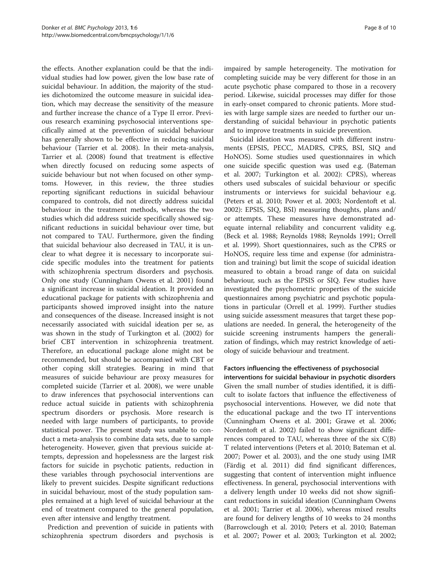the effects. Another explanation could be that the individual studies had low power, given the low base rate of suicidal behaviour. In addition, the majority of the studies dichotomized the outcome measure in suicidal ideation, which may decrease the sensitivity of the measure and further increase the chance of a Type II error. Previous research examining psychosocial interventions specifically aimed at the prevention of suicidal behaviour has generally shown to be effective in reducing suicidal behaviour (Tarrier et al. [2008\)](#page-9-0). In their meta-analysis, Tarrier et al. ([2008](#page-9-0)) found that treatment is effective when directly focused on reducing some aspects of suicide behaviour but not when focused on other symptoms. However, in this review, the three studies reporting significant reductions in suicidal behaviour compared to controls, did not directly address suicidal behaviour in the treatment methods, whereas the two studies which did address suicide specifically showed significant reductions in suicidal behaviour over time, but not compared to TAU. Furthermore, given the finding that suicidal behaviour also decreased in TAU, it is unclear to what degree it is necessary to incorporate suicide specific modules into the treatment for patients with schizophrenia spectrum disorders and psychosis. Only one study (Cunningham Owens et al. [2001\)](#page-9-0) found a significant increase in suicidal ideation. It provided an educational package for patients with schizophrenia and participants showed improved insight into the nature and consequences of the disease. Increased insight is not necessarily associated with suicidal ideation per se, as was shown in the study of Turkington et al. [\(2002\)](#page-9-0) for brief CBT intervention in schizophrenia treatment. Therefore, an educational package alone might not be recommended, but should be accompanied with CBT or other coping skill strategies. Bearing in mind that measures of suicide behaviour are proxy measures for completed suicide (Tarrier et al. [2008](#page-9-0)), we were unable to draw inferences that psychosocial interventions can reduce actual suicide in patients with schizophrenia spectrum disorders or psychosis. More research is needed with large numbers of participants, to provide statistical power. The present study was unable to conduct a meta-analysis to combine data sets, due to sample heterogeneity. However, given that previous suicide attempts, depression and hopelessness are the largest risk factors for suicide in psychotic patients, reduction in these variables through psychosocial interventions are likely to prevent suicides. Despite significant reductions in suicidal behaviour, most of the study population samples remained at a high level of suicidal behaviour at the end of treatment compared to the general population, even after intensive and lengthy treatment.

Prediction and prevention of suicide in patients with schizophrenia spectrum disorders and psychosis is impaired by sample heterogeneity. The motivation for completing suicide may be very different for those in an acute psychotic phase compared to those in a recovery period. Likewise, suicidal processes may differ for those in early-onset compared to chronic patients. More studies with large sample sizes are needed to further our understanding of suicidal behaviour in psychotic patients and to improve treatments in suicide prevention.

Suicidal ideation was measured with different instruments (EPSIS, PECC, MADRS, CPRS, BSI, SIQ and HoNOS). Some studies used questionnaires in which one suicide specific question was used e.g. (Bateman et al. [2007](#page-9-0); Turkington et al. [2002](#page-9-0)): CPRS), whereas others used subscales of suicidal behaviour or specific instruments or interviews for suicidal behaviour e.g. (Peters et al. [2010](#page-9-0); Power et al. [2003;](#page-9-0) Nordentoft et al. [2002](#page-9-0)): EPSIS, SIQ, BSI) measuring thoughts, plans and/ or attempts. These measures have demonstrated adequate internal reliability and concurrent validity e.g. (Beck et al. [1988](#page-9-0); Reynolds [1988;](#page-9-0) Reynolds [1991](#page-9-0); Orrell et al. [1999](#page-9-0)). Short questionnaires, such as the CPRS or HoNOS, require less time and expense (for administration and training) but limit the scope of suicidal ideation measured to obtain a broad range of data on suicidal behaviour, such as the EPSIS or SIQ. Few studies have investigated the psychometric properties of the suicide questionnaires among psychiatric and psychotic populations in particular (Orrell et al. [1999\)](#page-9-0). Further studies using suicide assessment measures that target these populations are needed. In general, the heterogeneity of the suicide screening instruments hampers the generalization of findings, which may restrict knowledge of aetiology of suicide behaviour and treatment.

# Factors influencing the effectiveness of psychosocial

interventions for suicidal behaviour in psychotic disorders Given the small number of studies identified, it is difficult to isolate factors that influence the effectiveness of psychosocial interventions. However, we did note that the educational package and the two IT interventions (Cunningham Owens et al. [2001;](#page-9-0) Grawe et al. [2006](#page-9-0); Nordentoft et al. [2002](#page-9-0)) failed to show significant differences compared to TAU, whereas three of the six  $C(B)$ T related interventions (Peters et al. [2010](#page-9-0); Bateman et al. [2007](#page-9-0); Power et al. [2003](#page-9-0)), and the one study using IMR (Färdig et al. [2011\)](#page-9-0) did find significant differences, suggesting that content of intervention might influence effectiveness. In general, psychosocial interventions with a delivery length under 10 weeks did not show significant reductions in suicidal ideation (Cunningham Owens et al. [2001](#page-9-0); Tarrier et al. [2006\)](#page-9-0), whereas mixed results are found for delivery lengths of 10 weeks to 24 months (Barrowclough et al. [2010;](#page-9-0) Peters et al. [2010](#page-9-0); Bateman et al. [2007](#page-9-0); Power et al. [2003;](#page-9-0) Turkington et al. [2002](#page-9-0);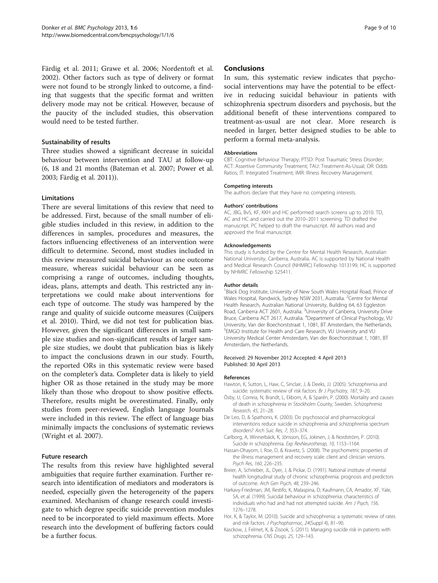<span id="page-8-0"></span>Färdig et al. [2011](#page-9-0); Grawe et al. [2006](#page-9-0); Nordentoft et al. [2002](#page-9-0)). Other factors such as type of delivery or format were not found to be strongly linked to outcome, a finding that suggests that the specific format and written delivery mode may not be critical. However, because of the paucity of the included studies, this observation would need to be tested further.

# Sustainability of results

Three studies showed a significant decrease in suicidal behaviour between intervention and TAU at follow-up (6, 18 and 21 months (Bateman et al. [2007;](#page-9-0) Power et al. [2003](#page-9-0); Färdig et al. [2011](#page-9-0))).

# Limitations

There are several limitations of this review that need to be addressed. First, because of the small number of eligible studies included in this review, in addition to the differences in samples, procedures and measures, the factors influencing effectiveness of an intervention were difficult to determine. Second, most studies included in this review measured suicidal behaviour as one outcome measure, whereas suicidal behaviour can be seen as comprising a range of outcomes, including thoughts, ideas, plans, attempts and death. This restricted any interpretations we could make about interventions for each type of outcome. The study was hampered by the range and quality of suicide outcome measures (Cuijpers et al. [2010\)](#page-9-0). Third, we did not test for publication bias. However, given the significant differences in small sample size studies and non-significant results of larger sample size studies, we doubt that publication bias is likely to impact the conclusions drawn in our study. Fourth, the reported ORs in this systematic review were based on the completer's data. Completer data is likely to yield higher OR as those retained in the study may be more likely than those who dropout to show positive effects. Therefore, results might be overestimated. Finally, only studies from peer-reviewed, English language Journals were included in this review. The effect of language bias minimally impacts the conclusions of systematic reviews (Wright et al. [2007](#page-9-0)).

# Future research

The results from this review have highlighted several ambiguities that require further examination. Further research into identification of mediators and moderators is needed, especially given the heterogeneity of the papers examined. Mechanism of change research could investigate to which degree specific suicide prevention modules need to be incorporated to yield maximum effects. More research into the development of buffering factors could be a further focus.

# Conclusions

In sum, this systematic review indicates that psychosocial interventions may have the potential to be effective in reducing suicidal behaviour in patients with schizophrenia spectrum disorders and psychosis, but the additional benefit of these interventions compared to treatment-as-usual are not clear. More research is needed in larger, better designed studies to be able to perform a formal meta-analysis.

#### Abbreviations

CBT: Cognitive Behaviour Therapy; PTSD: Post Traumatic Stress Disorder; ACT: Assertive Community Treatment; TAU: Treatment-As-Usual; OR: Odds Ratios; IT: Integrated Treatment; IMR: Illness Recovery Management.

#### Competing interests

The authors declare that they have no competing interests.

#### Authors' contributions

AC, JBG, BvS, KF, KKH and HC performed search screens up to 2010. TD, AC and HC and carried out the 2010–2011 screening. TD drafted the manuscript. PC helped to draft the manuscript. All authors read and approved the final manuscript.

#### Acknowledgements

This study is funded by the Centre for Mental Health Research, Australian National University, Canberra, Australia. AC is supported by National Health and Medical Research Council (NHMRC) Fellowship 1013199, HC is supported by NHMRC Fellowship 525411.

#### Author details

<sup>1</sup>Black Dog Institute, University of New South Wales Hospital Road, Prince of Wales Hospital, Randwick, Sydney NSW 2031, Australia. <sup>2</sup>Centre for Mental Health Research, Australian National University, Building 64, 63 Eggleston Road, Canberra ACT 2601, Australia. <sup>3</sup>University of Canberra, University Drive Bruce, Canberra ACT 2617, Australia. <sup>4</sup>Department of Clinical Psychology, VU University, Van der Boechorststraat 1, 1081, BT Amsterdam, the Netherlands. 5 EMGO Institute for Health and Care Research, VU University and VU University Medical Center Amsterdam, Van der Boechorststraat 1, 1081, BT Amsterdam, the Netherlands.

#### Received: 29 November 2012 Accepted: 4 April 2013 Published: 30 April 2013

#### References

- Hawton, K, Sutton, L, Haw, C, Sinclair, J, & Deeks, JJ. (2005). Schizophrenia and suicide: systematic review of risk factors. Br J Psychiatry, 187, 9–20.
- Ösby, U, Correia, N, Brandt, L, Ekbom, A, & Sparén, P. (2000). Mortality and causes of death in schizophrenia in Stockholm County, Sweden. Schizophrenia Research, 45, 21–28.
- De Leo, D, & Spathonis, K. (2003). Do psychosocial and pharmacological interventions reduce suicide in schizophrenia and schizophrenia spectrum disorders? Arch Suic Res, 7, 353–374.
- Carlborg, A, Winnerbäck, K, Jönsson, EG, Jokinen, J, & Nordström, P. (2010). Suicide in schizophrenia. Exp RevNeurotherap, 10, 1153–1164.
- Hassan-Ohayom, I, Roe, D, & Kravetz, S. (2008). The psychometric properties of the illness management and recovery scale: client and clinician versions. Psych Res, 160, 226–235.
- Breier, A, Schrieber, JL, Dyer, J, & Pickar, D. (1991). National institute of mental health longitudinal study of chronic schizophrenia: prognosis and predictors of outcome. Arch Gen Psych, 48, 239–246.
- Harkavy-Friedman, JM, Restifo, K, Malaspina, D, Kaufmann, CA, Amador, XF, Yale, SA, et al. (1999). Suicidal behaviour in schizophrenia: characteristics of individuals who had and had not attempted suicide. Am J Psych, 156, 1276–1278.
- Hor, K, & Taylor, M. (2010). Suicide and schizophrenia: a systematic review of rates and risk factors. J Psychopharmac, 24(Suppl 4), 81–90.
- Kasckow, J, Felmet, K, & Zisook, S. (2011). Managing suicide risk in patients with schizophrenia. CNS Drugs, 25, 129–143.